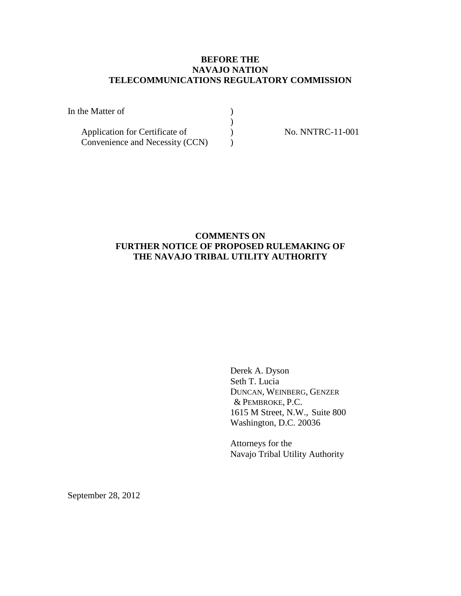# **BEFORE THE NAVAJO NATION TELECOMMUNICATIONS REGULATORY COMMISSION**

| In the Matter of                |  |
|---------------------------------|--|
|                                 |  |
| Application for Certificate of  |  |
| Convenience and Necessity (CCN) |  |

No. NNTRC-11-001

# **COMMENTS ON FURTHER NOTICE OF PROPOSED RULEMAKING OF THE NAVAJO TRIBAL UTILITY AUTHORITY**

Derek A. Dyson Seth T. Lucia DUNCAN, WEINBERG, GENZER & PEMBROKE, P.C. 1615 M Street, N.W., Suite 800 Washington, D.C. 20036

Attorneys for the Navajo Tribal Utility Authority

September 28, 2012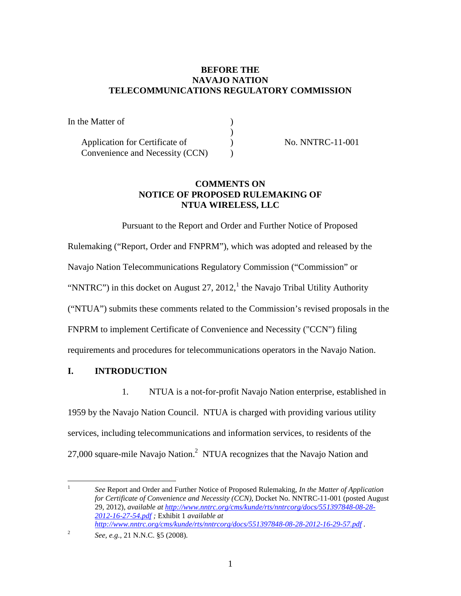# **BEFORE THE NAVAJO NATION TELECOMMUNICATIONS REGULATORY COMMISSION**

| In the Matter of                |  |
|---------------------------------|--|
|                                 |  |
| Application for Certificate of  |  |
| Convenience and Necessity (CCN) |  |

No. NNTRC-11-001

# **COMMENTS ON NOTICE OF PROPOSED RULEMAKING OF NTUA WIRELESS, LLC**

Pursuant to the Report and Order and Further Notice of Proposed Rulemaking ("Report, Order and FNPRM"), which was adopted and released by the Navajo Nation Telecommunications Regulatory Commission ("Commission" or "NNTRC") in this docket on August 27, 20[1](#page-1-0)2,<sup>1</sup> the Navajo Tribal Utility Authority ("NTUA") submits these comments related to the Commission's revised proposals in the FNPRM to implement Certificate of Convenience and Necessity ("CCN") filing requirements and procedures for telecommunications operators in the Navajo Nation.

# **I. INTRODUCTION**

1. NTUA is a not-for-profit Navajo Nation enterprise, established in

1959 by the Navajo Nation Council. NTUA is charged with providing various utility services, including telecommunications and information services, to residents of the [2](#page-1-1)7,000 square-mile Navajo Nation.<sup>2</sup> NTUA recognizes that the Navajo Nation and

<span id="page-1-0"></span><sup>1</sup> *See* Report and Order and Further Notice of Proposed Rulemaking, *In the Matter of Application for Certificate of Convenience and Necessity (CCN)*, Docket No. NNTRC-11-001 (posted August 29, 2012), *available at http://www.nntrc.org/cms/kunde/rts/nntrcorg/docs/551397848-08-28- 2012-16-27-54.pdf ;* Exhibit 1 *available at http://www.nntrc.org/cms/kunde/rts/nntrcorg/docs/551397848-08-28-2012-16-29-57.pdf .*

<span id="page-1-1"></span><sup>2</sup> *See, e.g.,* 21 N.N.C. §5 (2008).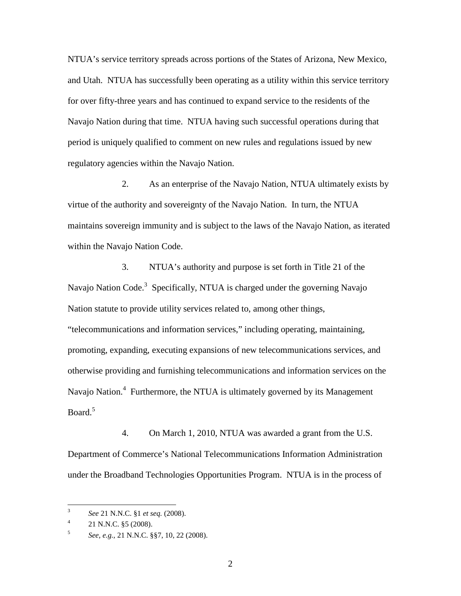NTUA's service territory spreads across portions of the States of Arizona, New Mexico, and Utah. NTUA has successfully been operating as a utility within this service territory for over fifty-three years and has continued to expand service to the residents of the Navajo Nation during that time. NTUA having such successful operations during that period is uniquely qualified to comment on new rules and regulations issued by new regulatory agencies within the Navajo Nation.

2. As an enterprise of the Navajo Nation, NTUA ultimately exists by virtue of the authority and sovereignty of the Navajo Nation. In turn, the NTUA maintains sovereign immunity and is subject to the laws of the Navajo Nation, as iterated within the Navajo Nation Code.

3. NTUA's authority and purpose is set forth in Title 21 of the Navajo Nation Code.<sup>[3](#page-2-0)</sup> Specifically, NTUA is charged under the governing Navajo Nation statute to provide utility services related to, among other things, "telecommunications and information services," including operating, maintaining, promoting, expanding, executing expansions of new telecommunications services, and otherwise providing and furnishing telecommunications and information services on the Navajo Nation.<sup>[4](#page-2-1)</sup> Furthermore, the NTUA is ultimately governed by its Management Board $^5$  $^5$ 

4. On March 1, 2010, NTUA was awarded a grant from the U.S. Department of Commerce's National Telecommunications Information Administration under the Broadband Technologies Opportunities Program. NTUA is in the process of

<span id="page-2-0"></span><sup>3</sup> *See* 21 N.N.C. §1 *et seq.* (2008).

<span id="page-2-1"></span><sup>4</sup> 21 N.N.C. §5 (2008).

<span id="page-2-2"></span><sup>5</sup> *See, e.g.,* 21 N.N.C. §§7, 10, 22 (2008).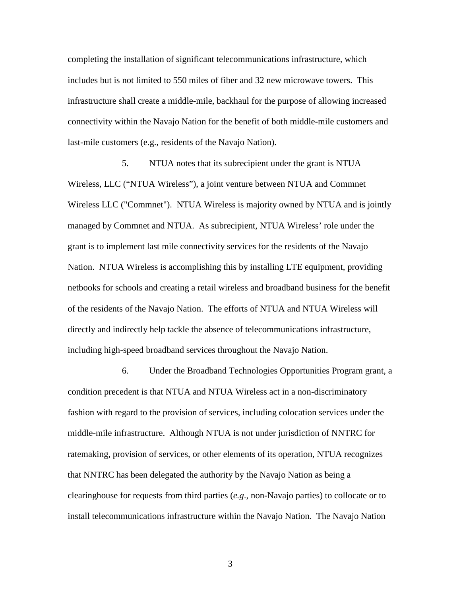completing the installation of significant telecommunications infrastructure, which includes but is not limited to 550 miles of fiber and 32 new microwave towers. This infrastructure shall create a middle-mile, backhaul for the purpose of allowing increased connectivity within the Navajo Nation for the benefit of both middle-mile customers and last-mile customers (e.g., residents of the Navajo Nation).

5. NTUA notes that its subrecipient under the grant is NTUA Wireless, LLC ("NTUA Wireless"), a joint venture between NTUA and Commnet Wireless LLC ("Commnet"). NTUA Wireless is majority owned by NTUA and is jointly managed by Commnet and NTUA. As subrecipient, NTUA Wireless' role under the grant is to implement last mile connectivity services for the residents of the Navajo Nation. NTUA Wireless is accomplishing this by installing LTE equipment, providing netbooks for schools and creating a retail wireless and broadband business for the benefit of the residents of the Navajo Nation. The efforts of NTUA and NTUA Wireless will directly and indirectly help tackle the absence of telecommunications infrastructure, including high-speed broadband services throughout the Navajo Nation.

6. Under the Broadband Technologies Opportunities Program grant, a condition precedent is that NTUA and NTUA Wireless act in a non-discriminatory fashion with regard to the provision of services, including colocation services under the middle-mile infrastructure. Although NTUA is not under jurisdiction of NNTRC for ratemaking, provision of services, or other elements of its operation, NTUA recognizes that NNTRC has been delegated the authority by the Navajo Nation as being a clearinghouse for requests from third parties (*e.g*., non-Navajo parties) to collocate or to install telecommunications infrastructure within the Navajo Nation. The Navajo Nation

3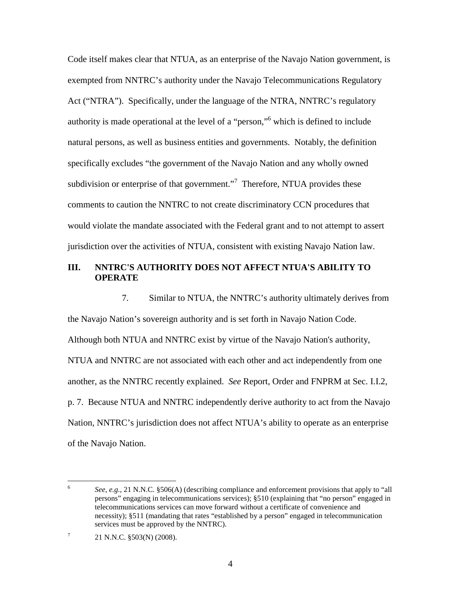Code itself makes clear that NTUA, as an enterprise of the Navajo Nation government, is exempted from NNTRC's authority under the Navajo Telecommunications Regulatory Act ("NTRA"). Specifically, under the language of the NTRA, NNTRC's regulatory authority is made operational at the level of a "person,"[6](#page-4-0) which is defined to include natural persons, as well as business entities and governments. Notably, the definition specifically excludes "the government of the Navajo Nation and any wholly owned subdivision or enterprise of that government."<sup>[7](#page-4-1)</sup> Therefore, NTUA provides these comments to caution the NNTRC to not create discriminatory CCN procedures that would violate the mandate associated with the Federal grant and to not attempt to assert jurisdiction over the activities of NTUA, consistent with existing Navajo Nation law.

## **III. NNTRC'S AUTHORITY DOES NOT AFFECT NTUA'S ABILITY TO OPERATE**

7. Similar to NTUA, the NNTRC's authority ultimately derives from the Navajo Nation's sovereign authority and is set forth in Navajo Nation Code. Although both NTUA and NNTRC exist by virtue of the Navajo Nation's authority, NTUA and NNTRC are not associated with each other and act independently from one another, as the NNTRC recently explained. *See* Report, Order and FNPRM at Sec. I.I.2, p. 7. Because NTUA and NNTRC independently derive authority to act from the Navajo Nation, NNTRC's jurisdiction does not affect NTUA's ability to operate as an enterprise of the Navajo Nation.

<span id="page-4-0"></span><sup>6</sup> *See, e.g.,* 21 N.N.C. §506(A) (describing compliance and enforcement provisions that apply to "all persons" engaging in telecommunications services); §510 (explaining that "no person" engaged in telecommunications services can move forward without a certificate of convenience and necessity); §511 (mandating that rates "established by a person" engaged in telecommunication services must be approved by the NNTRC).

<span id="page-4-1"></span><sup>7</sup> 21 N.N.C. §503(N) (2008).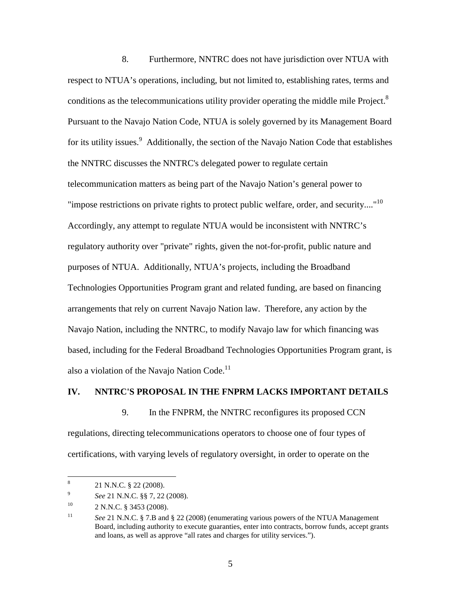8. Furthermore, NNTRC does not have jurisdiction over NTUA with respect to NTUA's operations, including, but not limited to, establishing rates, terms and conditions as the telecommunications utility provider operating the middle mile Project.<sup>[8](#page-5-0)</sup> Pursuant to the Navajo Nation Code, NTUA is solely governed by its Management Board for its utility issues.<sup>[9](#page-5-1)</sup> Additionally, the section of the Navajo Nation Code that establishes the NNTRC discusses the NNTRC's delegated power to regulate certain telecommunication matters as being part of the Navajo Nation's general power to "impose restrictions on private rights to protect public welfare, order, and security...."<sup>[10](#page-5-2)</sup> Accordingly, any attempt to regulate NTUA would be inconsistent with NNTRC's regulatory authority over "private" rights, given the not-for-profit, public nature and purposes of NTUA. Additionally, NTUA's projects, including the Broadband Technologies Opportunities Program grant and related funding, are based on financing arrangements that rely on current Navajo Nation law. Therefore, any action by the Navajo Nation, including the NNTRC, to modify Navajo law for which financing was based, including for the Federal Broadband Technologies Opportunities Program grant, is also a violation of the Navajo Nation Code.<sup>[11](#page-5-3)</sup>

#### **IV. NNTRC'S PROPOSAL IN THE FNPRM LACKS IMPORTANT DETAILS**

9. In the FNPRM, the NNTRC reconfigures its proposed CCN regulations, directing telecommunications operators to choose one of four types of certifications, with varying levels of regulatory oversight, in order to operate on the

<span id="page-5-0"></span><sup>8</sup> 21 N.N.C. § 22 (2008).

<span id="page-5-1"></span><sup>9</sup> *See* 21 N.N.C. §§ 7, 22 (2008).

<span id="page-5-2"></span> $10$  2 N.N.C. § 3453 (2008).

<span id="page-5-3"></span><sup>&</sup>lt;sup>11</sup> *See* 21 N.N.C. § 7.B and § 22 (2008) (enumerating various powers of the NTUA Management Board, including authority to execute guaranties, enter into contracts, borrow funds, accept grants and loans, as well as approve "all rates and charges for utility services.").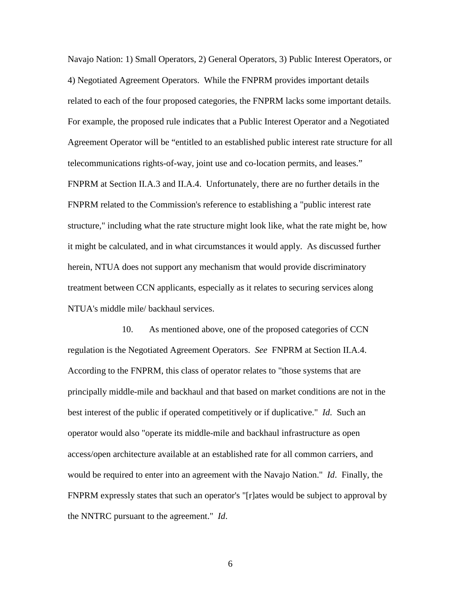Navajo Nation: 1) Small Operators, 2) General Operators, 3) Public Interest Operators, or 4) Negotiated Agreement Operators. While the FNPRM provides important details related to each of the four proposed categories, the FNPRM lacks some important details. For example, the proposed rule indicates that a Public Interest Operator and a Negotiated Agreement Operator will be "entitled to an established public interest rate structure for all telecommunications rights-of-way, joint use and co-location permits, and leases." FNPRM at Section II.A.3 and II.A.4. Unfortunately, there are no further details in the FNPRM related to the Commission's reference to establishing a "public interest rate structure," including what the rate structure might look like, what the rate might be, how it might be calculated, and in what circumstances it would apply. As discussed further herein, NTUA does not support any mechanism that would provide discriminatory treatment between CCN applicants, especially as it relates to securing services along NTUA's middle mile/ backhaul services.

10. As mentioned above, one of the proposed categories of CCN regulation is the Negotiated Agreement Operators. *See* FNPRM at Section II.A.4. According to the FNPRM, this class of operator relates to "those systems that are principally middle-mile and backhaul and that based on market conditions are not in the best interest of the public if operated competitively or if duplicative." *Id*. Such an operator would also "operate its middle-mile and backhaul infrastructure as open access/open architecture available at an established rate for all common carriers, and would be required to enter into an agreement with the Navajo Nation." *Id*. Finally, the FNPRM expressly states that such an operator's "[r]ates would be subject to approval by the NNTRC pursuant to the agreement." *Id*.

6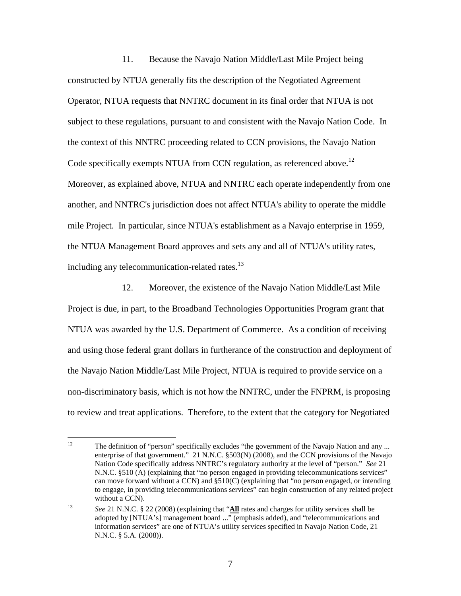11. Because the Navajo Nation Middle/Last Mile Project being constructed by NTUA generally fits the description of the Negotiated Agreement Operator, NTUA requests that NNTRC document in its final order that NTUA is not subject to these regulations, pursuant to and consistent with the Navajo Nation Code. In the context of this NNTRC proceeding related to CCN provisions, the Navajo Nation Code specifically exempts NTUA from CCN regulation, as referenced above.<sup>[12](#page-7-0)</sup> Moreover, as explained above, NTUA and NNTRC each operate independently from one another, and NNTRC's jurisdiction does not affect NTUA's ability to operate the middle mile Project. In particular, since NTUA's establishment as a Navajo enterprise in 1959, the NTUA Management Board approves and sets any and all of NTUA's utility rates, including any telecommunication-related rates.<sup>[13](#page-7-1)</sup>

12. Moreover, the existence of the Navajo Nation Middle/Last Mile Project is due, in part, to the Broadband Technologies Opportunities Program grant that NTUA was awarded by the U.S. Department of Commerce. As a condition of receiving and using those federal grant dollars in furtherance of the construction and deployment of the Navajo Nation Middle/Last Mile Project, NTUA is required to provide service on a non-discriminatory basis, which is not how the NNTRC, under the FNPRM, is proposing to review and treat applications. Therefore, to the extent that the category for Negotiated

<span id="page-7-0"></span><sup>&</sup>lt;sup>12</sup> The definition of "person" specifically excludes "the government of the Navajo Nation and any ... enterprise of that government." 21 N.N.C. §503(N) (2008), and the CCN provisions of the Navajo Nation Code specifically address NNTRC's regulatory authority at the level of "person." *See* 21 N.N.C. §510 (A) (explaining that "no person engaged in providing telecommunications services" can move forward without a CCN) and §510(C) (explaining that "no person engaged, or intending to engage, in providing telecommunications services" can begin construction of any related project without a CCN).

<span id="page-7-1"></span><sup>13</sup> *See* 21 N.N.C. § 22 (2008) (explaining that "**All** rates and charges for utility services shall be adopted by [NTUA's] management board ..." (emphasis added), and "telecommunications and information services" are one of NTUA's utility services specified in Navajo Nation Code, 21 N.N.C. § 5.A. (2008)).